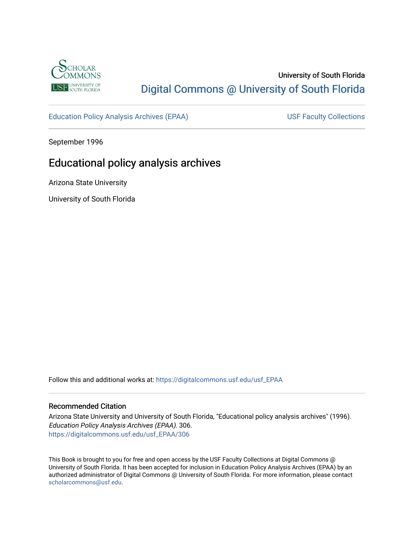

## University of South Florida [Digital Commons @ University of South Florida](https://digitalcommons.usf.edu/)

[Education Policy Analysis Archives \(EPAA\)](https://digitalcommons.usf.edu/usf_EPAA) USF Faculty Collections

September 1996

# Educational policy analysis archives

Arizona State University

University of South Florida

Follow this and additional works at: [https://digitalcommons.usf.edu/usf\\_EPAA](https://digitalcommons.usf.edu/usf_EPAA?utm_source=digitalcommons.usf.edu%2Fusf_EPAA%2F306&utm_medium=PDF&utm_campaign=PDFCoverPages)

#### Recommended Citation

Arizona State University and University of South Florida, "Educational policy analysis archives" (1996). Education Policy Analysis Archives (EPAA). 306. [https://digitalcommons.usf.edu/usf\\_EPAA/306](https://digitalcommons.usf.edu/usf_EPAA/306?utm_source=digitalcommons.usf.edu%2Fusf_EPAA%2F306&utm_medium=PDF&utm_campaign=PDFCoverPages)

This Book is brought to you for free and open access by the USF Faculty Collections at Digital Commons @ University of South Florida. It has been accepted for inclusion in Education Policy Analysis Archives (EPAA) by an authorized administrator of Digital Commons @ University of South Florida. For more information, please contact [scholarcommons@usf.edu.](mailto:scholarcommons@usf.edu)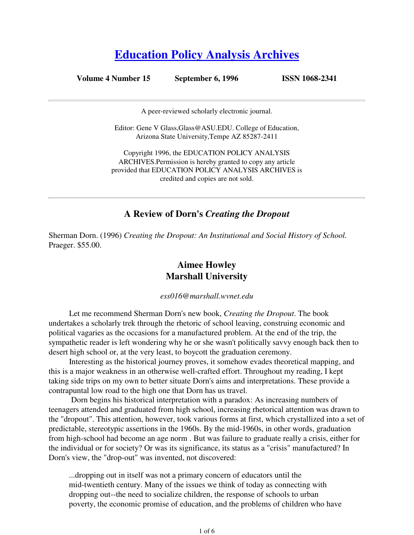# **Education Policy Analysis Archives**

**Volume 4 Number 15 September 6, 1996 ISSN 1068-2341**

A peer-reviewed scholarly electronic journal.

Editor: Gene V Glass,Glass@ASU.EDU. College of Education, Arizona State University,Tempe AZ 85287-2411

Copyright 1996, the EDUCATION POLICY ANALYSIS ARCHIVES.Permission is hereby granted to copy any article provided that EDUCATION POLICY ANALYSIS ARCHIVES is credited and copies are not sold.

#### **A Review of Dorn's** *Creating the Dropout*

Sherman Dorn. (1996) *Creating the Dropout: An Institutional and Social History of School.* Praeger. \$55.00.

## **Aimee Howley Marshall University**

*ess016@marshall.wvnet.edu*

Let me recommend Sherman Dorn's new book, *Creating the Dropout*. The book undertakes a scholarly trek through the rhetoric of school leaving, construing economic and political vagaries as the occasions for a manufactured problem. At the end of the trip, the sympathetic reader is left wondering why he or she wasn't politically savvy enough back then to desert high school or, at the very least, to boycott the graduation ceremony.

Interesting as the historical journey proves, it somehow evades theoretical mapping, and this is a major weakness in an otherwise well-crafted effort. Throughout my reading, I kept taking side trips on my own to better situate Dorn's aims and interpretations. These provide a contrapuntal low road to the high one that Dorn has us travel.

 Dorn begins his historical interpretation with a paradox: As increasing numbers of teenagers attended and graduated from high school, increasing rhetorical attention was drawn to the "dropout". This attention, however, took various forms at first, which crystallized into a set of predictable, stereotypic assertions in the 1960s. By the mid-1960s, in other words, graduation from high-school had become an age norm . But was failure to graduate really a crisis, either for the individual or for society? Or was its significance, its status as a "crisis" manufactured? In Dorn's view, the "drop-out" was invented, not discovered:

...dropping out in itself was not a primary concern of educators until the mid-twentieth century. Many of the issues we think of today as connecting with dropping out--the need to socialize children, the response of schools to urban poverty, the economic promise of education, and the problems of children who have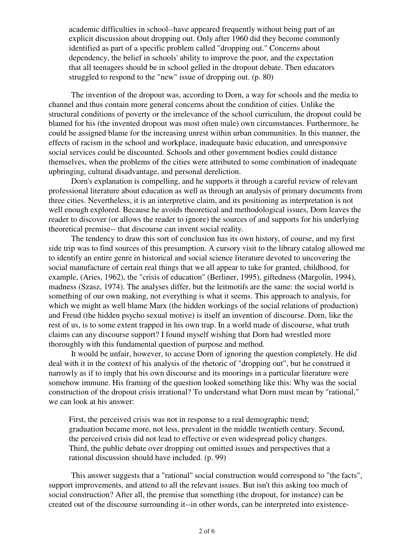academic difficulties in school--have appeared frequently without being part of an explicit discussion about dropping out. Only after 1960 did they become commonly identified as part of a specific problem called "dropping out." Concerns about dependency, the belief in schools' ability to improve the poor, and the expectation that all teenagers should be in school gelled in the dropout debate. Then educators struggled to respond to the "new" issue of dropping out. (p. 80)

 The invention of the dropout was, according to Dorn, a way for schools and the media to channel and thus contain more general concerns about the condition of cities. Unlike the structural conditions of poverty or the irrelevance of the school curriculum, the dropout could be blamed for his (the invented dropout was most often male) own circumstances. Furthermore, he could be assigned blame for the increasing unrest within urban communities. In this manner, the effects of racism in the school and workplace, inadequate basic education, and unresponsive social services could be discounted. Schools and other government bodies could distance themselves, when the problems of the cities were attributed to some combination of inadequate upbringing, cultural disadvantage, and personal dereliction.

 Dorn's explanation is compelling, and he supports it through a careful review of relevant professional literature about education as well as through an analysis of primary documents from three cities. Nevertheless, it is an interpretive claim, and its positioning as interpretation is not well enough explored. Because he avoids theoretical and methodological issues, Dorn leaves the reader to discover (or allows the reader to ignore) the sources of and supports for his underlying theoretical premise-- that discourse can invent social reality.

 The tendency to draw this sort of conclusion has its own history, of course, and my first side trip was to find sources of this presumption. A cursory visit to the library catalog allowed me to identify an entire genre in historical and social science literature devoted to uncovering the social manufacture of certain real things that we all appear to take for granted, childhood, for example, (Aries, 1962), the "crisis of education" (Berliner, 1995), giftedness (Margolin, 1994), madness (Szasz, 1974). The analyses differ, but the leitmotifs are the same: the social world is something of our own making, not everything is what it seems. This approach to analysis, for which we might as well blame Marx (the hidden workings of the social relations of production) and Freud (the hidden psycho sexual motive) is itself an invention of discourse. Dorn, like the rest of us, is to some extent trapped in his own trap. In a world made of discourse, what truth claims can any discourse support? I found myself wishing that Dorn had wrestled more thoroughly with this fundamental question of purpose and method.

 It would be unfair, however, to accuse Dorn of ignoring the question completely. He did deal with it in the context of his analysis of the rhetoric of "dropping out", but he construed it narrowly as if to imply that his own discourse and its moorings in a particular literature were somehow immune. His framing of the question looked something like this: Why was the social construction of the dropout crisis irrational? To understand what Dorn must mean by "rational," we can look at his answer:

First, the perceived crisis was not in response to a real demographic trend; graduation became more, not less, prevalent in the middle twentieth century. Second, the perceived crisis did not lead to effective or even widespread policy changes. Third, the public debate over dropping out omitted issues and perspectives that a rational discussion should have included. (p. 99)

 This answer suggests that a "rational" social construction would correspond to "the facts", support improvements, and attend to all the relevant issues. But isn't this asking too much of social construction? After all, the premise that something (the dropout, for instance) can be created out of the discourse surrounding it--in other words, can be interpreted into existence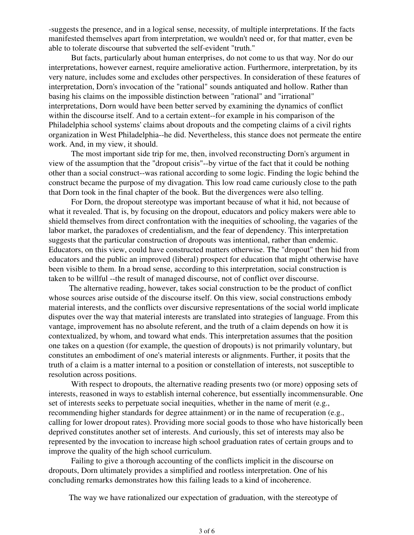-suggests the presence, and in a logical sense, necessity, of multiple interpretations. If the facts manifested themselves apart from interpretation, we wouldn't need or, for that matter, even be able to tolerate discourse that subverted the self-evident "truth."

 But facts, particularly about human enterprises, do not come to us that way. Nor do our interpretations, however earnest, require ameliorative action. Furthermore, interpretation, by its very nature, includes some and excludes other perspectives. In consideration of these features of interpretation, Dorn's invocation of the "rational" sounds antiquated and hollow. Rather than basing his claims on the impossible distinction between "rational" and "irrational" interpretations, Dorn would have been better served by examining the dynamics of conflict within the discourse itself. And to a certain extent--for example in his comparison of the Philadelphia school systems' claims about dropouts and the competing claims of a civil rights organization in West Philadelphia--he did. Nevertheless, this stance does not permeate the entire work. And, in my view, it should.

 The most important side trip for me, then, involved reconstructing Dorn's argument in view of the assumption that the "dropout crisis"--by virtue of the fact that it could be nothing other than a social construct--was rational according to some logic. Finding the logic behind the construct became the purpose of my divagation. This low road came curiously close to the path that Dorn took in the final chapter of the book. But the divergences were also telling.

 For Dorn, the dropout stereotype was important because of what it hid, not because of what it revealed. That is, by focusing on the dropout, educators and policy makers were able to shield themselves from direct confrontation with the inequities of schooling, the vagaries of the labor market, the paradoxes of credentialism, and the fear of dependency. This interpretation suggests that the particular construction of dropouts was intentional, rather than endemic. Educators, on this view, could have constructed matters otherwise. The "dropout" then hid from educators and the public an improved (liberal) prospect for education that might otherwise have been visible to them. In a broad sense, according to this interpretation, social construction is taken to be willful --the result of managed discourse, not of conflict over discourse.

The alternative reading, however, takes social construction to be the product of conflict whose sources arise outside of the discourse itself. On this view, social constructions embody material interests, and the conflicts over discursive representations of the social world implicate disputes over the way that material interests are translated into strategies of language. From this vantage, improvement has no absolute referent, and the truth of a claim depends on how it is contextualized, by whom, and toward what ends. This interpretation assumes that the position one takes on a question (for example, the question of dropouts) is not primarily voluntary, but constitutes an embodiment of one's material interests or alignments. Further, it posits that the truth of a claim is a matter internal to a position or constellation of interests, not susceptible to resolution across positions.

With respect to dropouts, the alternative reading presents two (or more) opposing sets of interests, reasoned in ways to establish internal coherence, but essentially incommensurable. One set of interests seeks to perpetuate social inequities, whether in the name of merit (e.g., recommending higher standards for degree attainment) or in the name of recuperation (e.g., calling for lower dropout rates). Providing more social goods to those who have historically been deprived constitutes another set of interests. And curiously, this set of interests may also be represented by the invocation to increase high school graduation rates of certain groups and to improve the quality of the high school curriculum.

 Failing to give a thorough accounting of the conflicts implicit in the discourse on dropouts, Dorn ultimately provides a simplified and rootless interpretation. One of his concluding remarks demonstrates how this failing leads to a kind of incoherence.

The way we have rationalized our expectation of graduation, with the stereotype of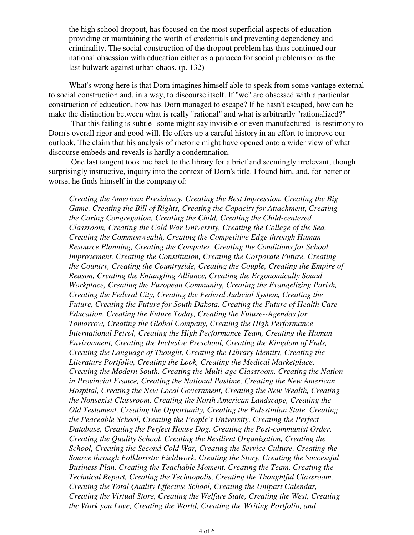the high school dropout, has focused on the most superficial aspects of education- providing or maintaining the worth of credentials and preventing dependency and criminality. The social construction of the dropout problem has thus continued our national obsession with education either as a panacea for social problems or as the last bulwark against urban chaos. (p. 132)

What's wrong here is that Dorn imagines himself able to speak from some vantage external to social construction and, in a way, to discourse itself. If "we" are obsessed with a particular construction of education, how has Dorn managed to escape? If he hasn't escaped, how can he make the distinction between what is really "rational" and what is arbitrarily "rationalized?"

 That this failing is subtle--some might say invisible or even manufactured--is testimony to Dorn's overall rigor and good will. He offers up a careful history in an effort to improve our outlook. The claim that his analysis of rhetoric might have opened onto a wider view of what discourse embeds and reveals is hardly a condemnation.

 One last tangent took me back to the library for a brief and seemingly irrelevant, though surprisingly instructive, inquiry into the context of Dorn's title. I found him, and, for better or worse, he finds himself in the company of:

*Creating the American Presidency, Creating the Best Impression, Creating the Big Game, Creating the Bill of Rights, Creating the Capacity for Attachment, Creating the Caring Congregation, Creating the Child, Creating the Child-centered Classroom, Creating the Cold War University, Creating the College of the Sea, Creating the Commonwealth, Creating the Competitive Edge through Human Resource Planning, Creating the Computer, Creating the Conditions for School Improvement, Creating the Constitution, Creating the Corporate Future, Creating the Country, Creating the Countryside, Creating the Couple, Creating the Empire of Reason, Creating the Entangling Alliance, Creating the Ergonomically Sound Workplace, Creating the European Community, Creating the Evangelizing Parish, Creating the Federal City, Creating the Federal Judicial System, Creating the Future, Creating the Future for South Dakota, Creating the Future of Health Care Education, Creating the Future Today, Creating the Future--Agendas for Tomorrow, Creating the Global Company, Creating the High Performance International Petrol, Creating the High Performance Team, Creating the Human Environment, Creating the Inclusive Preschool, Creating the Kingdom of Ends, Creating the Language of Thought, Creating the Library Identity, Creating the Literature Portfolio, Creating the Look, Creating the Medical Marketplace, Creating the Modern South, Creating the Multi-age Classroom, Creating the Nation in Provincial France, Creating the National Pastime, Creating the New American Hospital, Creating the New Local Government, Creating the New Wealth, Creating the Nonsexist Classroom, Creating the North American Landscape, Creating the Old Testament, Creating the Opportunity, Creating the Palestinian State, Creating the Peaceable School, Creating the People's University, Creating the Perfect Database, Creating the Perfect House Dog, Creating the Post-communist Order, Creating the Quality School, Creating the Resilient Organization, Creating the School, Creating the Second Cold War, Creating the Service Culture, Creating the Source through Folkloristic Fieldwork, Creating the Story, Creating the Successful Business Plan, Creating the Teachable Moment, Creating the Team, Creating the Technical Report, Creating the Technopolis, Creating the Thoughtful Classroom, Creating the Total Quality Effective School, Creating the Unipart Calendar, Creating the Virtual Store, Creating the Welfare State, Creating the West, Creating the Work you Love, Creating the World, Creating the Writing Portfolio, and*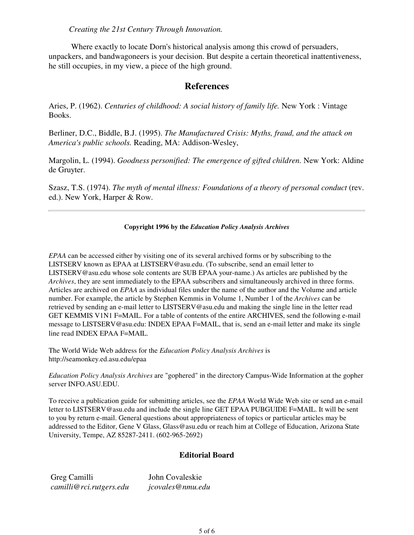*Creating the 21st Century Through Innovation.*

 Where exactly to locate Dorn's historical analysis among this crowd of persuaders, unpackers, and bandwagoneers is your decision. But despite a certain theoretical inattentiveness, he still occupies, in my view, a piece of the high ground.

### **References**

Aries, P. (1962). *Centuries of childhood: A social history of family life.* New York : Vintage Books.

Berliner, D.C., Biddle, B.J. (1995). *The Manufactured Crisis: Myths, fraud, and the attack on America's public schools.* Reading, MA: Addison-Wesley,

Margolin, L. (1994). *Goodness personified: The emergence of gifted children.* New York: Aldine de Gruyter.

Szasz, T.S. (1974). *The myth of mental illness: Foundations of a theory of personal conduct* (rev. ed.). New York, Harper & Row.

#### **Copyright 1996 by the** *Education Policy Analysis Archives*

*EPAA* can be accessed either by visiting one of its several archived forms or by subscribing to the LISTSERV known as EPAA at LISTSERV@asu.edu. (To subscribe, send an email letter to LISTSERV@asu.edu whose sole contents are SUB EPAA your-name.) As articles are published by the *Archives*, they are sent immediately to the EPAA subscribers and simultaneously archived in three forms. Articles are archived on *EPAA* as individual files under the name of the author and the Volume and article number. For example, the article by Stephen Kemmis in Volume 1, Number 1 of the *Archives* can be retrieved by sending an e-mail letter to LISTSERV@asu.edu and making the single line in the letter read GET KEMMIS V1N1 F=MAIL. For a table of contents of the entire ARCHIVES, send the following e-mail message to LISTSERV@asu.edu: INDEX EPAA F=MAIL, that is, send an e-mail letter and make its single line read INDEX EPAA F=MAIL.

The World Wide Web address for the *Education Policy Analysis Archives* is http://seamonkey.ed.asu.edu/epaa

*Education Policy Analysis Archives* are "gophered" in the directory Campus-Wide Information at the gopher server INFO.ASU.EDU.

To receive a publication guide for submitting articles, see the *EPAA* World Wide Web site or send an e-mail letter to LISTSERV@asu.edu and include the single line GET EPAA PUBGUIDE F=MAIL. It will be sent to you by return e-mail. General questions about appropriateness of topics or particular articles may be addressed to the Editor, Gene V Glass, Glass@asu.edu or reach him at College of Education, Arizona State University, Tempe, AZ 85287-2411. (602-965-2692)

#### **Editorial Board**

Greg Camilli *camilli@rci.rutgers.edu* John Covaleskie *jcovales@nmu.edu*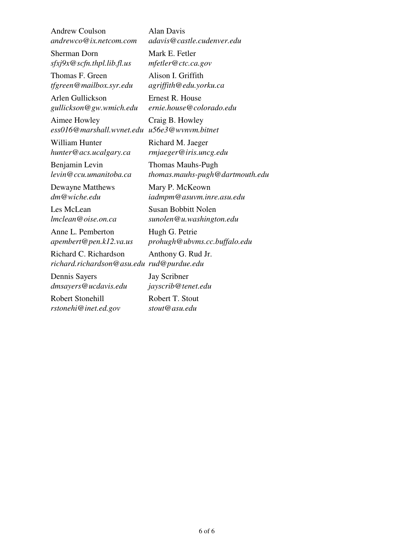Andrew Coulson *andrewco@ix.netcom.com*

Sherman Dorn *sfxj9x@scfn.thpl.lib.fl.us*

Thomas F. Green *tfgreen@mailbox.syr.edu*

Arlen Gullickson *gullickson@gw.wmich.edu*

Aimee Howley *ess016@marshall.wvnet.edu u56e3@wvnvm.bitnet*

William Hunter *hunter@acs.ucalgary.ca*

Benjamin Levin *levin@ccu.umanitoba.ca*

Dewayne Matthews *dm@wiche.edu*

Les McLean *lmclean@oise.on.ca*

Anne L. Pemberton *apembert@pen.k12.va.us*

Richard C. Richardson *richard.richardson@asu.edu rud@purdue.edu*

Dennis Sayers *dmsayers@ucdavis.edu*

Robert Stonehill *rstonehi@inet.ed.gov* Alan Davis *adavis@castle.cudenver.edu*

Mark E. Fetler *mfetler@ctc.ca.gov*

Alison I. Griffith *agriffith@edu.yorku.ca*

Ernest R. House *ernie.house@colorado.edu*

Craig B. Howley

Richard M. Jaeger *rmjaeger@iris.uncg.edu*

Thomas Mauhs-Pugh *thomas.mauhs-pugh@dartmouth.edu*

Mary P. McKeown *iadmpm@asuvm.inre.asu.edu*

Susan Bobbitt Nolen *sunolen@u.washington.edu*

Hugh G. Petrie *prohugh@ubvms.cc.buffalo.edu*

Anthony G. Rud Jr.

Jay Scribner *jayscrib@tenet.edu*

Robert T. Stout *stout@asu.edu*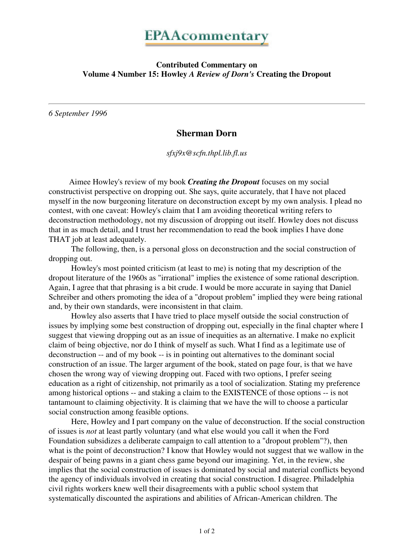

#### **Contributed Commentary on Volume 4 Number 15: Howley** *A Review of Dorn's* **Creating the Dropout**

*6 September 1996*

## **Sherman Dorn**

*sfxj9x@scfn.thpl.lib.fl.us*

Aimee Howley's review of my book *Creating the Dropout* focuses on my social constructivist perspective on dropping out. She says, quite accurately, that I have not placed myself in the now burgeoning literature on deconstruction except by my own analysis. I plead no contest, with one caveat: Howley's claim that I am avoiding theoretical writing refers to deconstruction methodology, not my discussion of dropping out itself. Howley does not discuss that in as much detail, and I trust her recommendation to read the book implies I have done THAT job at least adequately.

 The following, then, is a personal gloss on deconstruction and the social construction of dropping out.

 Howley's most pointed criticism (at least to me) is noting that my description of the dropout literature of the 1960s as "irrational" implies the existence of some rational description. Again, I agree that that phrasing is a bit crude. I would be more accurate in saying that Daniel Schreiber and others promoting the idea of a "dropout problem" implied they were being rational and, by their own standards, were inconsistent in that claim.

 Howley also asserts that I have tried to place myself outside the social construction of issues by implying some best construction of dropping out, especially in the final chapter where I suggest that viewing dropping out as an issue of inequities as an alternative. I make no explicit claim of being objective, nor do I think of myself as such. What I find as a legitimate use of deconstruction -- and of my book -- is in pointing out alternatives to the dominant social construction of an issue. The larger argument of the book, stated on page four, is that we have chosen the wrong way of viewing dropping out. Faced with two options, I prefer seeing education as a right of citizenship, not primarily as a tool of socialization. Stating my preference among historical options -- and staking a claim to the EXISTENCE of those options -- is not tantamount to claiming objectivity. It is claiming that we have the will to choose a particular social construction among feasible options.

 Here, Howley and I part company on the value of deconstruction. If the social construction of issues is *not* at least partly voluntary (and what else would you call it when the Ford Foundation subsidizes a deliberate campaign to call attention to a "dropout problem"?), then what is the point of deconstruction? I know that Howley would not suggest that we wallow in the despair of being pawns in a giant chess game beyond our imagining. Yet, in the review, she implies that the social construction of issues is dominated by social and material conflicts beyond the agency of individuals involved in creating that social construction. I disagree. Philadelphia civil rights workers knew well their disagreements with a public school system that systematically discounted the aspirations and abilities of African-American children. The